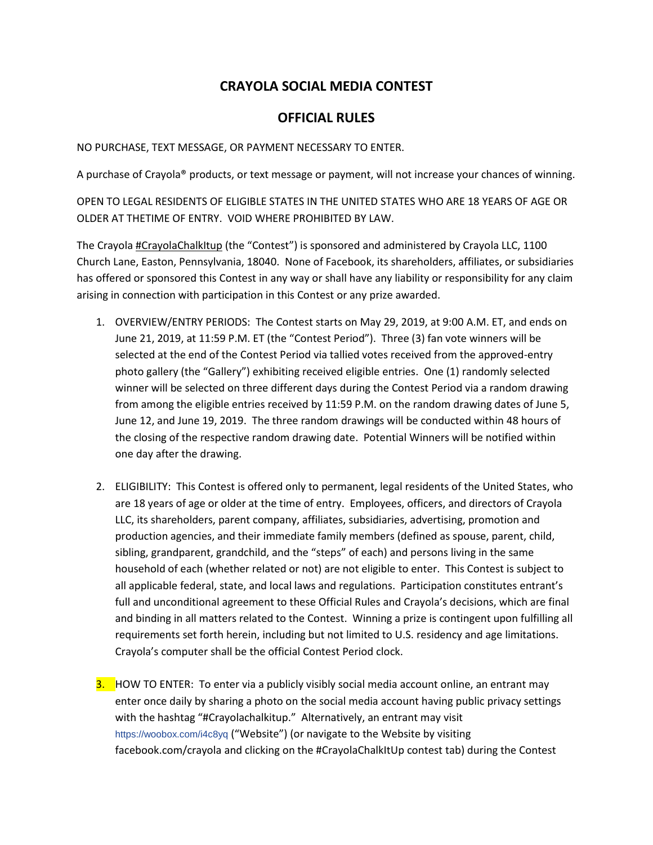## **CRAYOLA SOCIAL MEDIA CONTEST**

## **OFFICIAL RULES**

NO PURCHASE, TEXT MESSAGE, OR PAYMENT NECESSARY TO ENTER.

A purchase of Crayola® products, or text message or payment, will not increase your chances of winning.

OPEN TO LEGAL RESIDENTS OF ELIGIBLE STATES IN THE UNITED STATES WHO ARE 18 YEARS OF AGE OR OLDER AT THETIME OF ENTRY. VOID WHERE PROHIBITED BY LAW.

The Crayola #CrayolaChalkItup (the "Contest") is sponsored and administered by Crayola LLC, 1100 Church Lane, Easton, Pennsylvania, 18040. None of Facebook, its shareholders, affiliates, or subsidiaries has offered or sponsored this Contest in any way or shall have any liability or responsibility for any claim arising in connection with participation in this Contest or any prize awarded.

- 1. OVERVIEW/ENTRY PERIODS: The Contest starts on May 29, 2019, at 9:00 A.M. ET, and ends on June 21, 2019, at 11:59 P.M. ET (the "Contest Period"). Three (3) fan vote winners will be selected at the end of the Contest Period via tallied votes received from the approved-entry photo gallery (the "Gallery") exhibiting received eligible entries. One (1) randomly selected winner will be selected on three different days during the Contest Period via a random drawing from among the eligible entries received by 11:59 P.M. on the random drawing dates of June 5, June 12, and June 19, 2019. The three random drawings will be conducted within 48 hours of the closing of the respective random drawing date. Potential Winners will be notified within one day after the drawing.
- 2. ELIGIBILITY: This Contest is offered only to permanent, legal residents of the United States, who are 18 years of age or older at the time of entry. Employees, officers, and directors of Crayola LLC, its shareholders, parent company, affiliates, subsidiaries, advertising, promotion and production agencies, and their immediate family members (defined as spouse, parent, child, sibling, grandparent, grandchild, and the "steps" of each) and persons living in the same household of each (whether related or not) are not eligible to enter. This Contest is subject to all applicable federal, state, and local laws and regulations. Participation constitutes entrant's full and unconditional agreement to these Official Rules and Crayola's decisions, which are final and binding in all matters related to the Contest. Winning a prize is contingent upon fulfilling all requirements set forth herein, including but not limited to U.S. residency and age limitations. Crayola's computer shall be the official Contest Period clock.
- **3.** HOW TO ENTER: To enter via a publicly visibly social media account online, an entrant may enter once daily by sharing a photo on the social media account having public privacy settings with the hashtag "#Crayolachalkitup." Alternatively, an entrant may visit <https://woobox.com/i4c8yq> ("Website") (or navigate to the Website by visiting facebook.com/crayola and clicking on the #CrayolaChalkItUp contest tab) during the Contest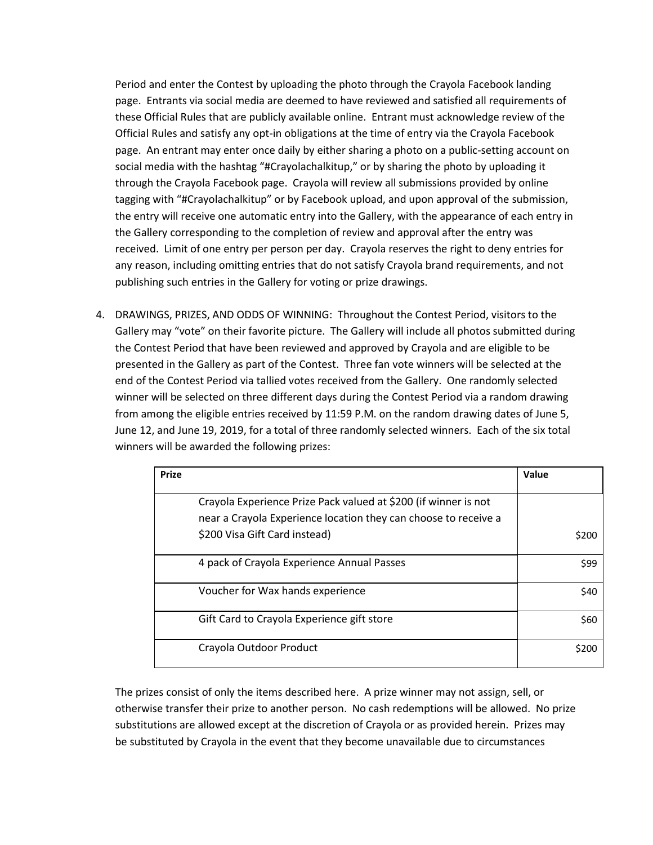Period and enter the Contest by uploading the photo through the Crayola Facebook landing page. Entrants via social media are deemed to have reviewed and satisfied all requirements of these Official Rules that are publicly available online. Entrant must acknowledge review of the Official Rules and satisfy any opt-in obligations at the time of entry via the Crayola Facebook page. An entrant may enter once daily by either sharing a photo on a public-setting account on social media with the hashtag "#Crayolachalkitup," or by sharing the photo by uploading it through the Crayola Facebook page. Crayola will review all submissions provided by online tagging with "#Crayolachalkitup" or by Facebook upload, and upon approval of the submission, the entry will receive one automatic entry into the Gallery, with the appearance of each entry in the Gallery corresponding to the completion of review and approval after the entry was received. Limit of one entry per person per day. Crayola reserves the right to deny entries for any reason, including omitting entries that do not satisfy Crayola brand requirements, and not publishing such entries in the Gallery for voting or prize drawings.

4. DRAWINGS, PRIZES, AND ODDS OF WINNING: Throughout the Contest Period, visitors to the Gallery may "vote" on their favorite picture. The Gallery will include all photos submitted during the Contest Period that have been reviewed and approved by Crayola and are eligible to be presented in the Gallery as part of the Contest. Three fan vote winners will be selected at the end of the Contest Period via tallied votes received from the Gallery. One randomly selected winner will be selected on three different days during the Contest Period via a random drawing from among the eligible entries received by 11:59 P.M. on the random drawing dates of June 5, June 12, and June 19, 2019, for a total of three randomly selected winners. Each of the six total winners will be awarded the following prizes:

| <b>Prize</b>                                                    | Value |
|-----------------------------------------------------------------|-------|
| Crayola Experience Prize Pack valued at \$200 (if winner is not |       |
| near a Crayola Experience location they can choose to receive a |       |
| \$200 Visa Gift Card instead)                                   | \$200 |
| 4 pack of Crayola Experience Annual Passes                      | \$99  |
| Voucher for Wax hands experience                                | \$40  |
| Gift Card to Crayola Experience gift store                      | \$60  |
| Crayola Outdoor Product                                         | \$200 |

The prizes consist of only the items described here. A prize winner may not assign, sell, or otherwise transfer their prize to another person. No cash redemptions will be allowed. No prize substitutions are allowed except at the discretion of Crayola or as provided herein. Prizes may be substituted by Crayola in the event that they become unavailable due to circumstances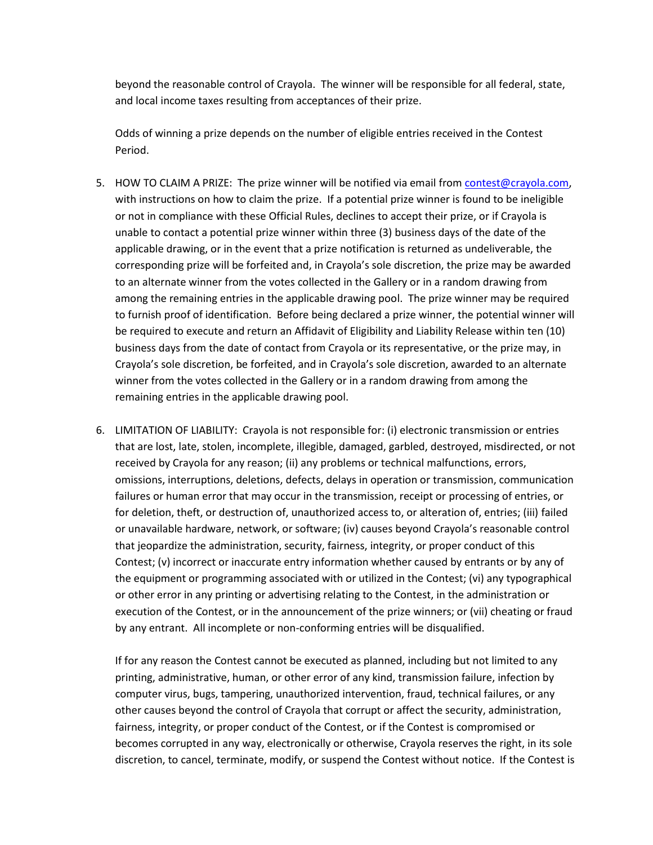beyond the reasonable control of Crayola. The winner will be responsible for all federal, state, and local income taxes resulting from acceptances of their prize.

Odds of winning a prize depends on the number of eligible entries received in the Contest Period.

- 5. HOW TO CLAIM A PRIZE: The prize winner will be notified via email fro[m contest@crayola.com,](mailto:contest@crayola.com) with instructions on how to claim the prize. If a potential prize winner is found to be ineligible or not in compliance with these Official Rules, declines to accept their prize, or if Crayola is unable to contact a potential prize winner within three (3) business days of the date of the applicable drawing, or in the event that a prize notification is returned as undeliverable, the corresponding prize will be forfeited and, in Crayola's sole discretion, the prize may be awarded to an alternate winner from the votes collected in the Gallery or in a random drawing from among the remaining entries in the applicable drawing pool. The prize winner may be required to furnish proof of identification. Before being declared a prize winner, the potential winner will be required to execute and return an Affidavit of Eligibility and Liability Release within ten (10) business days from the date of contact from Crayola or its representative, or the prize may, in Crayola's sole discretion, be forfeited, and in Crayola's sole discretion, awarded to an alternate winner from the votes collected in the Gallery or in a random drawing from among the remaining entries in the applicable drawing pool.
- 6. LIMITATION OF LIABILITY: Crayola is not responsible for: (i) electronic transmission or entries that are lost, late, stolen, incomplete, illegible, damaged, garbled, destroyed, misdirected, or not received by Crayola for any reason; (ii) any problems or technical malfunctions, errors, omissions, interruptions, deletions, defects, delays in operation or transmission, communication failures or human error that may occur in the transmission, receipt or processing of entries, or for deletion, theft, or destruction of, unauthorized access to, or alteration of, entries; (iii) failed or unavailable hardware, network, or software; (iv) causes beyond Crayola's reasonable control that jeopardize the administration, security, fairness, integrity, or proper conduct of this Contest; (v) incorrect or inaccurate entry information whether caused by entrants or by any of the equipment or programming associated with or utilized in the Contest; (vi) any typographical or other error in any printing or advertising relating to the Contest, in the administration or execution of the Contest, or in the announcement of the prize winners; or (vii) cheating or fraud by any entrant. All incomplete or non-conforming entries will be disqualified.

If for any reason the Contest cannot be executed as planned, including but not limited to any printing, administrative, human, or other error of any kind, transmission failure, infection by computer virus, bugs, tampering, unauthorized intervention, fraud, technical failures, or any other causes beyond the control of Crayola that corrupt or affect the security, administration, fairness, integrity, or proper conduct of the Contest, or if the Contest is compromised or becomes corrupted in any way, electronically or otherwise, Crayola reserves the right, in its sole discretion, to cancel, terminate, modify, or suspend the Contest without notice. If the Contest is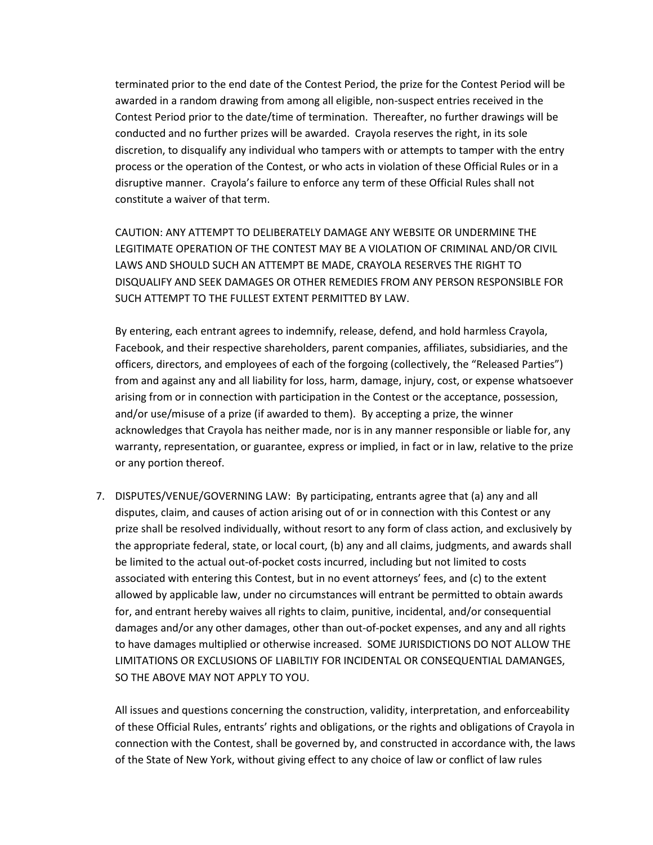terminated prior to the end date of the Contest Period, the prize for the Contest Period will be awarded in a random drawing from among all eligible, non-suspect entries received in the Contest Period prior to the date/time of termination. Thereafter, no further drawings will be conducted and no further prizes will be awarded. Crayola reserves the right, in its sole discretion, to disqualify any individual who tampers with or attempts to tamper with the entry process or the operation of the Contest, or who acts in violation of these Official Rules or in a disruptive manner. Crayola's failure to enforce any term of these Official Rules shall not constitute a waiver of that term.

CAUTION: ANY ATTEMPT TO DELIBERATELY DAMAGE ANY WEBSITE OR UNDERMINE THE LEGITIMATE OPERATION OF THE CONTEST MAY BE A VIOLATION OF CRIMINAL AND/OR CIVIL LAWS AND SHOULD SUCH AN ATTEMPT BE MADE, CRAYOLA RESERVES THE RIGHT TO DISQUALIFY AND SEEK DAMAGES OR OTHER REMEDIES FROM ANY PERSON RESPONSIBLE FOR SUCH ATTEMPT TO THE FULLEST EXTENT PERMITTED BY LAW.

By entering, each entrant agrees to indemnify, release, defend, and hold harmless Crayola, Facebook, and their respective shareholders, parent companies, affiliates, subsidiaries, and the officers, directors, and employees of each of the forgoing (collectively, the "Released Parties") from and against any and all liability for loss, harm, damage, injury, cost, or expense whatsoever arising from or in connection with participation in the Contest or the acceptance, possession, and/or use/misuse of a prize (if awarded to them). By accepting a prize, the winner acknowledges that Crayola has neither made, nor is in any manner responsible or liable for, any warranty, representation, or guarantee, express or implied, in fact or in law, relative to the prize or any portion thereof.

7. DISPUTES/VENUE/GOVERNING LAW: By participating, entrants agree that (a) any and all disputes, claim, and causes of action arising out of or in connection with this Contest or any prize shall be resolved individually, without resort to any form of class action, and exclusively by the appropriate federal, state, or local court, (b) any and all claims, judgments, and awards shall be limited to the actual out-of-pocket costs incurred, including but not limited to costs associated with entering this Contest, but in no event attorneys' fees, and (c) to the extent allowed by applicable law, under no circumstances will entrant be permitted to obtain awards for, and entrant hereby waives all rights to claim, punitive, incidental, and/or consequential damages and/or any other damages, other than out-of-pocket expenses, and any and all rights to have damages multiplied or otherwise increased. SOME JURISDICTIONS DO NOT ALLOW THE LIMITATIONS OR EXCLUSIONS OF LIABILTIY FOR INCIDENTAL OR CONSEQUENTIAL DAMANGES, SO THE ABOVE MAY NOT APPLY TO YOU.

All issues and questions concerning the construction, validity, interpretation, and enforceability of these Official Rules, entrants' rights and obligations, or the rights and obligations of Crayola in connection with the Contest, shall be governed by, and constructed in accordance with, the laws of the State of New York, without giving effect to any choice of law or conflict of law rules